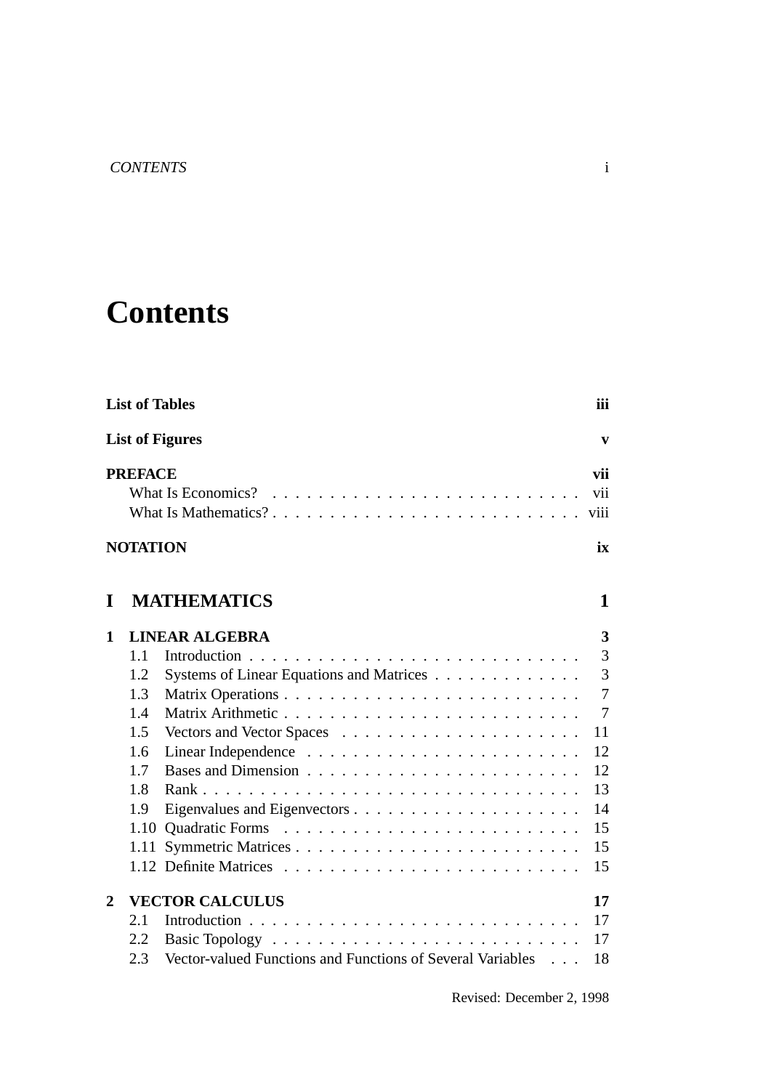## **Contents**

|                | <b>List of Tables</b> |                                                            | iii<br>$\mathbf{v}$<br>vii<br>vii<br>viii |
|----------------|-----------------------|------------------------------------------------------------|-------------------------------------------|
|                |                       | <b>List of Figures</b><br>What Is Economics?<br>ix<br>1    |                                           |
|                | <b>PREFACE</b>        |                                                            |                                           |
|                |                       |                                                            |                                           |
|                | <b>NOTATION</b>       |                                                            |                                           |
| I              |                       | <b>MATHEMATICS</b>                                         |                                           |
| 1              |                       | <b>LINEAR ALGEBRA</b>                                      | 3                                         |
|                | 1.1                   |                                                            | $\overline{3}$                            |
|                | 1.2                   | Systems of Linear Equations and Matrices                   | $\overline{3}$                            |
|                | 1.3                   |                                                            | $\overline{7}$                            |
|                | 1.4                   |                                                            | $\overline{7}$                            |
|                | 1.5                   |                                                            | 11                                        |
|                | 1.6                   |                                                            | 12                                        |
|                | 1.7                   |                                                            | 12                                        |
|                | 1.8                   |                                                            | 13                                        |
|                | 1.9                   |                                                            | 14                                        |
|                | 1.10                  |                                                            | 15                                        |
|                | 1.11                  |                                                            | 15                                        |
|                |                       |                                                            | 15                                        |
| $\overline{2}$ |                       | <b>VECTOR CALCULUS</b>                                     | 17                                        |
|                | 2.1                   |                                                            | 17                                        |
|                | 2.2                   |                                                            | 17                                        |
|                | 2.3                   | Vector-valued Functions and Functions of Several Variables | 18                                        |

Revised: December 2, 1998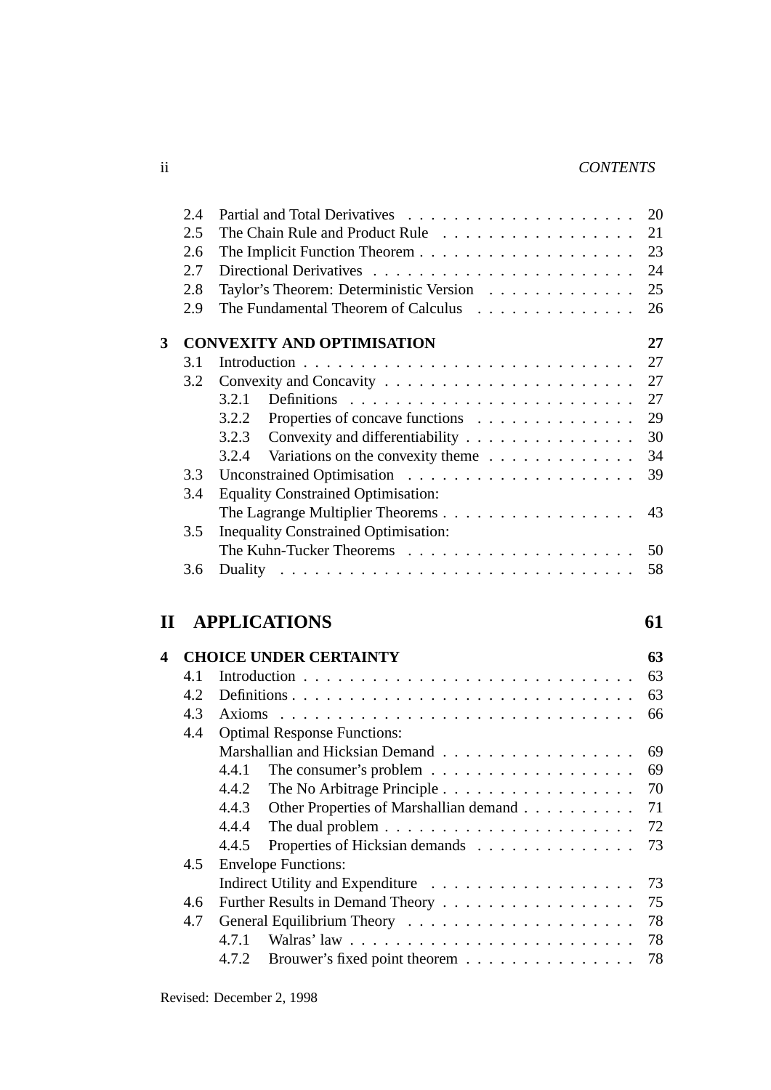## ii *CONTENTS*

|   | 2.4 |                                                                              | 20       |
|---|-----|------------------------------------------------------------------------------|----------|
|   | 2.5 | The Chain Rule and Product Rule                                              | 21       |
|   | 2.6 |                                                                              | 23       |
|   | 2.7 |                                                                              | 24       |
|   | 2.8 | Taylor's Theorem: Deterministic Version                                      | 25       |
|   | 2.9 | The Fundamental Theorem of Calculus                                          | 26       |
| 3 |     | <b>CONVEXITY AND OPTIMISATION</b>                                            | 27       |
|   | 3.1 |                                                                              | 27       |
|   | 3.2 |                                                                              | 27       |
|   |     | 3.2.1                                                                        | 27       |
|   |     | Properties of concave functions<br>3.2.2                                     | 29       |
|   |     | Convexity and differentiability<br>3.2.3                                     | 30       |
|   |     | 3.2.4<br>Variations on the convexity theme                                   | 34       |
|   | 3.3 |                                                                              | 39       |
|   | 3.4 | <b>Equality Constrained Optimisation:</b>                                    |          |
|   |     | The Lagrange Multiplier Theorems                                             | 43       |
|   | 3.5 | <b>Inequality Constrained Optimisation:</b>                                  |          |
|   |     |                                                                              | 50       |
|   | 3.6 |                                                                              | 58       |
|   |     |                                                                              |          |
|   |     |                                                                              |          |
|   |     |                                                                              |          |
| П |     | <b>APPLICATIONS</b>                                                          | 61       |
| 4 |     | <b>CHOICE UNDER CERTAINTY</b>                                                | 63       |
|   | 4.1 |                                                                              | 63       |
|   | 4.2 |                                                                              | 63       |
|   | 4.3 |                                                                              | 66       |
|   | 4.4 | <b>Optimal Response Functions:</b>                                           |          |
|   |     |                                                                              | 69       |
|   |     | 4.4.1                                                                        | 69       |
|   |     | The No Arbitrage Principle<br>4.4.2                                          | 70       |
|   |     | 4.4.3<br>Other Properties of Marshallian demand                              | 71       |
|   |     | 4.4.4<br>The dual problem $\ldots \ldots \ldots \ldots \ldots \ldots \ldots$ | 72       |
|   |     | Properties of Hicksian demands<br>4.4.5                                      | 73       |
|   | 4.5 | <b>Envelope Functions:</b>                                                   |          |
|   |     |                                                                              | 73       |
|   | 4.6 | Further Results in Demand Theory                                             | 75       |
|   | 4.7 |                                                                              | 78       |
|   |     | 4.7.1<br>Brouwer's fixed point theorem<br>4.7.2                              | 78<br>78 |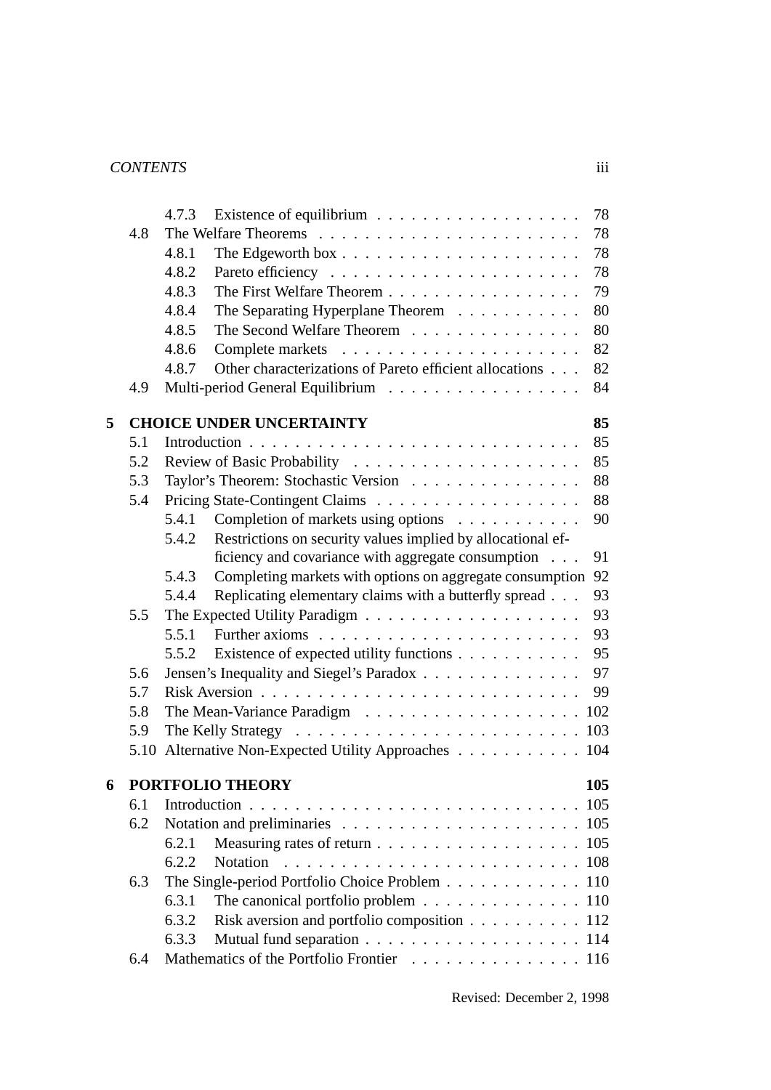## *CONTENTS* iii

|   |      | 78<br>4.7.3                                                                       |
|---|------|-----------------------------------------------------------------------------------|
|   | 4.8  | 78                                                                                |
|   |      | 78<br>4.8.1                                                                       |
|   |      | 78<br>4.8.2                                                                       |
|   |      | The First Welfare Theorem<br>79<br>4.8.3                                          |
|   |      | 80<br>4.8.4<br>The Separating Hyperplane Theorem                                  |
|   |      | 80<br>4.8.5<br>The Second Welfare Theorem                                         |
|   |      | 82<br>4.8.6                                                                       |
|   |      | Other characterizations of Pareto efficient allocations<br>82<br>4.8.7            |
|   | 4.9  | Multi-period General Equilibrium<br>84                                            |
| 5 |      | <b>CHOICE UNDER UNCERTAINTY</b><br>85                                             |
|   | 5.1  | 85                                                                                |
|   | 5.2  | 85                                                                                |
|   | 5.3  | 88<br>Taylor's Theorem: Stochastic Version                                        |
|   | 5.4  | 88                                                                                |
|   |      | 5.4.1<br>Completion of markets using options<br>90                                |
|   |      | Restrictions on security values implied by allocational ef-<br>5.4.2              |
|   |      | ficiency and covariance with aggregate consumption<br>91                          |
|   |      | 92<br>Completing markets with options on aggregate consumption<br>5.4.3           |
|   |      | Replicating elementary claims with a butterfly spread<br>93<br>5.4.4              |
|   | 5.5  | 93                                                                                |
|   |      | 93<br>5.5.1                                                                       |
|   |      | 95<br>Existence of expected utility functions<br>5.5.2                            |
|   | 5.6  | 97<br>Jensen's Inequality and Siegel's Paradox                                    |
|   | 5.7  | 99                                                                                |
|   | 5.8  |                                                                                   |
|   | 5.9  |                                                                                   |
|   | 5.10 | Alternative Non-Expected Utility Approaches 104                                   |
| 6 |      | <b>PORTFOLIO THEORY</b><br>105                                                    |
|   | 6.1  | 105                                                                               |
|   | 6.2  |                                                                                   |
|   |      | 6.2.1                                                                             |
|   |      | <b>Notation</b><br>6.2.2                                                          |
|   | 6.3  | The Single-period Portfolio Choice Problem 110                                    |
|   |      | 6.3.1<br>The canonical portfolio problem $\ldots \ldots \ldots \ldots \ldots 110$ |
|   |      | Risk aversion and portfolio composition 112<br>6.3.2                              |
|   |      | 6.3.3                                                                             |
|   | 6.4  | Mathematics of the Portfolio Frontier 116                                         |
|   |      |                                                                                   |

Revised: December 2, 1998